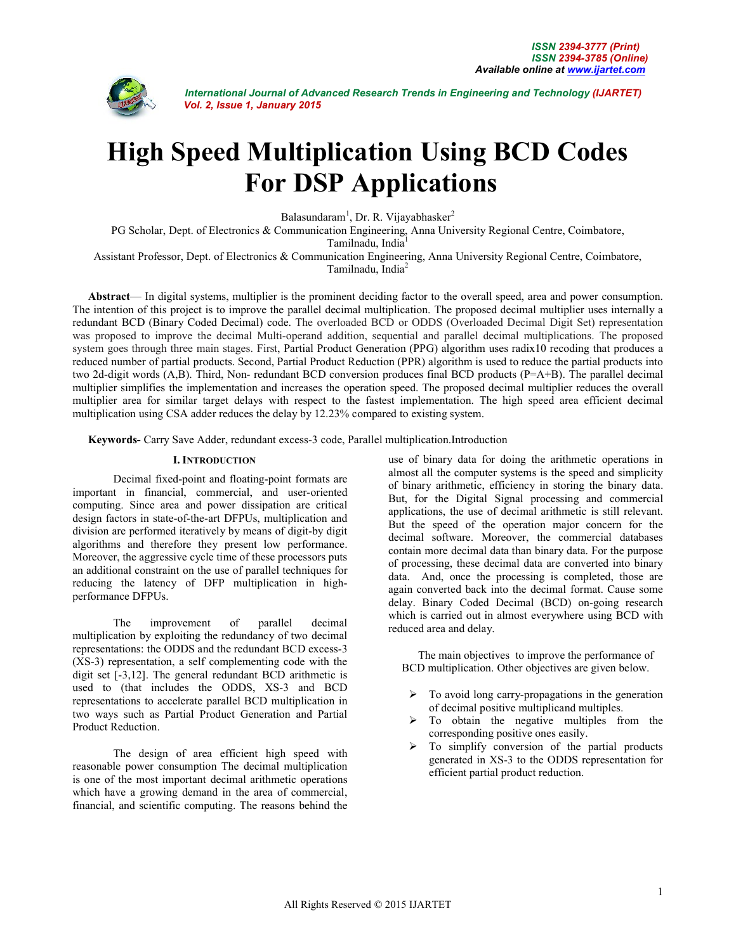

# **High Speed Multiplication Using BCD Codes For DSP Applications**

Balasundaram<sup>1</sup>, Dr. R. Vijayabhasker<sup>2</sup>

PG Scholar, Dept. of Electronics & Communication Engineering, Anna University Regional Centre, Coimbatore,

Tamilnadu, India<sup>1</sup>

Assistant Professor, Dept. of Electronics & Communication Engineering, Anna University Regional Centre, Coimbatore,

Tamilnadu, India<sup>2</sup>

**Abstract**— In digital systems, multiplier is the prominent deciding factor to the overall speed, area and power consumption. The intention of this project is to improve the parallel decimal multiplication. The proposed decimal multiplier uses internally a redundant BCD (Binary Coded Decimal) code. The overloaded BCD or ODDS (Overloaded Decimal Digit Set) representation was proposed to improve the decimal Multi-operand addition, sequential and parallel decimal multiplications. The proposed system goes through three main stages. First, Partial Product Generation (PPG) algorithm uses radix10 recoding that produces a reduced number of partial products. Second, Partial Product Reduction (PPR) algorithm is used to reduce the partial products into two 2d-digit words (A,B). Third, Non- redundant BCD conversion produces final BCD products (P=A+B). The parallel decimal multiplier simplifies the implementation and increases the operation speed. The proposed decimal multiplier reduces the overall multiplier area for similar target delays with respect to the fastest implementation. The high speed area efficient decimal multiplication using CSA adder reduces the delay by 12.23% compared to existing system.

**Keywords-** Carry Save Adder, redundant excess-3 code, Parallel multiplication.Introduction

### **I. INTRODUCTION**

Decimal fixed-point and floating-point formats are important in financial, commercial, and user-oriented computing. Since area and power dissipation are critical design factors in state-of-the-art DFPUs, multiplication and division are performed iteratively by means of digit-by digit algorithms and therefore they present low performance. Moreover, the aggressive cycle time of these processors puts an additional constraint on the use of parallel techniques for reducing the latency of DFP multiplication in highperformance DFPUs.

The improvement of parallel decimal multiplication by exploiting the redundancy of two decimal representations: the ODDS and the redundant BCD excess-3 (XS-3) representation, a self complementing code with the digit set [-3,12]. The general redundant BCD arithmetic is used to (that includes the ODDS, XS-3 and BCD representations to accelerate parallel BCD multiplication in two ways such as Partial Product Generation and Partial Product Reduction.

The design of area efficient high speed with reasonable power consumption The decimal multiplication is one of the most important decimal arithmetic operations which have a growing demand in the area of commercial, financial, and scientific computing. The reasons behind the

use of binary data for doing the arithmetic operations in almost all the computer systems is the speed and simplicity of binary arithmetic, efficiency in storing the binary data. But, for the Digital Signal processing and commercial applications, the use of decimal arithmetic is still relevant. But the speed of the operation major concern for the decimal software. Moreover, the commercial databases contain more decimal data than binary data. For the purpose of processing, these decimal data are converted into binary data. And, once the processing is completed, those are again converted back into the decimal format. Cause some delay. Binary Coded Decimal (BCD) on-going research which is carried out in almost everywhere using BCD with reduced area and delay.

The main objectives to improve the performance of BCD multiplication. Other objectives are given below.

- To avoid long carry-propagations in the generation of decimal positive multiplicand multiples.
- To obtain the negative multiples from the corresponding positive ones easily.
- $\triangleright$  To simplify conversion of the partial products generated in XS-3 to the ODDS representation for efficient partial product reduction.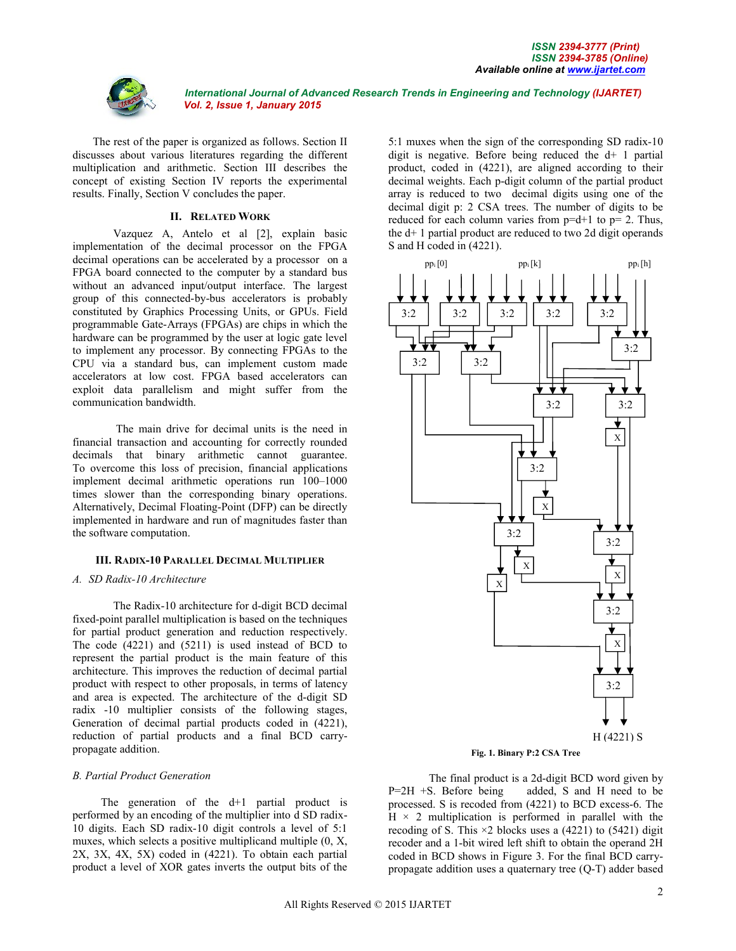

The rest of the paper is organized as follows. Section II discusses about various literatures regarding the different multiplication and arithmetic. Section III describes the concept of existing Section IV reports the experimental results. Finally, Section V concludes the paper.

#### **II. RELATED WORK**

Vazquez A, Antelo et al [2], explain basic implementation of the decimal processor on the FPGA decimal operations can be accelerated by a processor on a FPGA board connected to the computer by a standard bus without an advanced input/output interface. The largest group of this connected-by-bus accelerators is probably constituted by Graphics Processing Units, or GPUs. Field programmable Gate-Arrays (FPGAs) are chips in which the hardware can be programmed by the user at logic gate level to implement any processor. By connecting FPGAs to the CPU via a standard bus, can implement custom made accelerators at low cost. FPGA based accelerators can exploit data parallelism and might suffer from the communication bandwidth.

The main drive for decimal units is the need in financial transaction and accounting for correctly rounded decimals that binary arithmetic cannot guarantee. To overcome this loss of precision, financial applications implement decimal arithmetic operations run 100–1000 times slower than the corresponding binary operations. Alternatively, Decimal Floating-Point (DFP) can be directly implemented in hardware and run of magnitudes faster than the software computation.

### **III. RADIX-10 PARALLEL DECIMAL MULTIPLIER**

#### *A. SD Radix-10 Architecture*

The Radix-10 architecture for d-digit BCD decimal fixed-point parallel multiplication is based on the techniques for partial product generation and reduction respectively. The code (4221) and (5211) is used instead of BCD to represent the partial product is the main feature of this architecture. This improves the reduction of decimal partial product with respect to other proposals, in terms of latency and area is expected. The architecture of the d-digit SD radix -10 multiplier consists of the following stages, Generation of decimal partial products coded in (4221), reduction of partial products and a final BCD carrypropagate addition.

### *B. Partial Product Generation*

The generation of the  $d+1$  partial product is performed by an encoding of the multiplier into d SD radix-10 digits. Each SD radix-10 digit controls a level of 5:1 muxes, which selects a positive multiplicand multiple (0, X, 2X, 3X, 4X, 5X) coded in (4221). To obtain each partial product a level of XOR gates inverts the output bits of the

5:1 muxes when the sign of the corresponding SD radix-10 digit is negative. Before being reduced the d+ 1 partial product, coded in (4221), are aligned according to their decimal weights. Each p-digit column of the partial product array is reduced to two decimal digits using one of the decimal digit p: 2 CSA trees. The number of digits to be reduced for each column varies from  $p=d+1$  to  $p=2$ . Thus, the d+ 1 partial product are reduced to two 2d digit operands S and H coded in (4221).



**Fig. 1. Binary P:2 CSA Tree**

The final product is a 2d-digit BCD word given by P=2H +S. Before being added, S and H need to be processed. S is recoded from (4221) to BCD excess-6. The  $H \times 2$  multiplication is performed in parallel with the recoding of S. This  $\times$ 2 blocks uses a (4221) to (5421) digit recoder and a 1-bit wired left shift to obtain the operand 2H coded in BCD shows in Figure 3. For the final BCD carrypropagate addition uses a quaternary tree (Q-T) adder based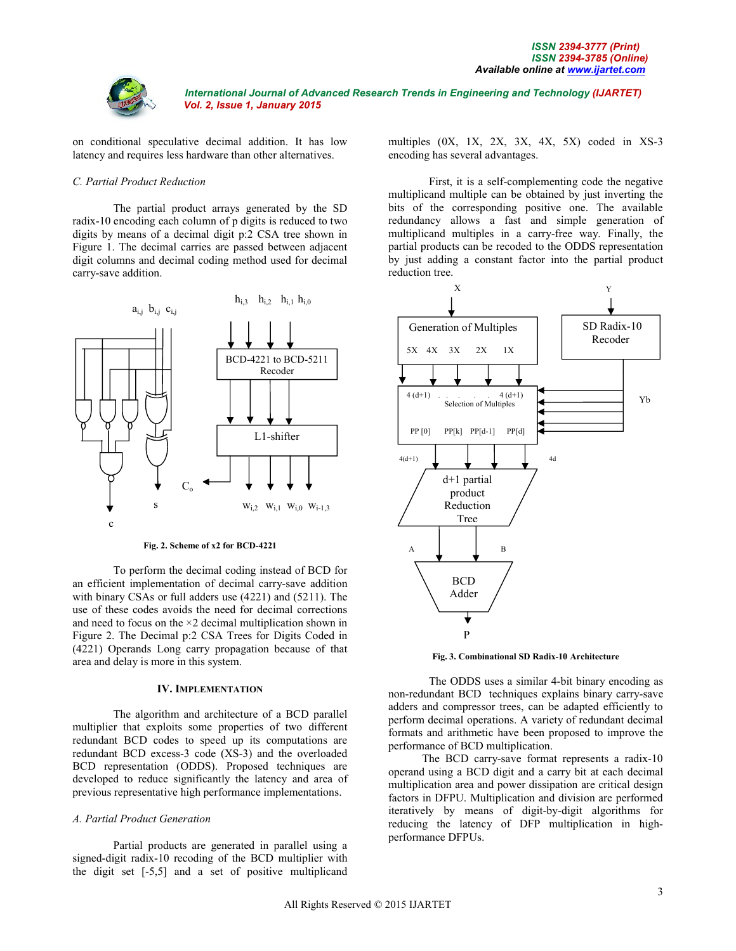

on conditional speculative decimal addition. It has low latency and requires less hardware than other alternatives.

### *C. Partial Product Reduction*

The partial product arrays generated by the SD radix-10 encoding each column of p digits is reduced to two digits by means of a decimal digit p:2 CSA tree shown in Figure 1. The decimal carries are passed between adjacent digit columns and decimal coding method used for decimal carry-save addition.



**Fig. 2. Scheme of x2 for BCD-4221**

To perform the decimal coding instead of BCD for an efficient implementation of decimal carry-save addition with binary CSAs or full adders use (4221) and (5211). The use of these codes avoids the need for decimal corrections and need to focus on the ×2 decimal multiplication shown in Figure 2. The Decimal p:2 CSA Trees for Digits Coded in (4221) Operands Long carry propagation because of that area and delay is more in this system.

#### **IV. IMPLEMENTATION**

The algorithm and architecture of a BCD parallel multiplier that exploits some properties of two different redundant BCD codes to speed up its computations are redundant BCD excess-3 code (XS-3) and the overloaded BCD representation (ODDS). Proposed techniques are developed to reduce significantly the latency and area of previous representative high performance implementations.

#### *A. Partial Product Generation*

Partial products are generated in parallel using a signed-digit radix-10 recoding of the BCD multiplier with the digit set [-5,5] and a set of positive multiplicand multiples (0X, 1X, 2X, 3X, 4X, 5X) coded in XS-3 encoding has several advantages.

First, it is a self-complementing code the negative multiplicand multiple can be obtained by just inverting the bits of the corresponding positive one. The available redundancy allows a fast and simple generation of multiplicand multiples in a carry-free way. Finally, the partial products can be recoded to the ODDS representation by just adding a constant factor into the partial product reduction tree.



**Fig. 3. Combinational SD Radix-10 Architecture** (BC

The ODDS uses a similar 4-bit binary encoding as non-redundant BCD techniques explains binary carry-save adders and compressor trees, can be adapted efficiently to perform decimal operations. A variety of redundant decimal formats and arithmetic have been proposed to improve the performance of BCD multiplication.

 The BCD carry-save format represents a radix-10 operand using a BCD digit and a carry bit at each decimal multiplication area and power dissipation are critical design factors in DFPU. Multiplication and division are performed iteratively by means of digit-by-digit algorithms for reducing the latency of DFP multiplication in highperformance DFPUs.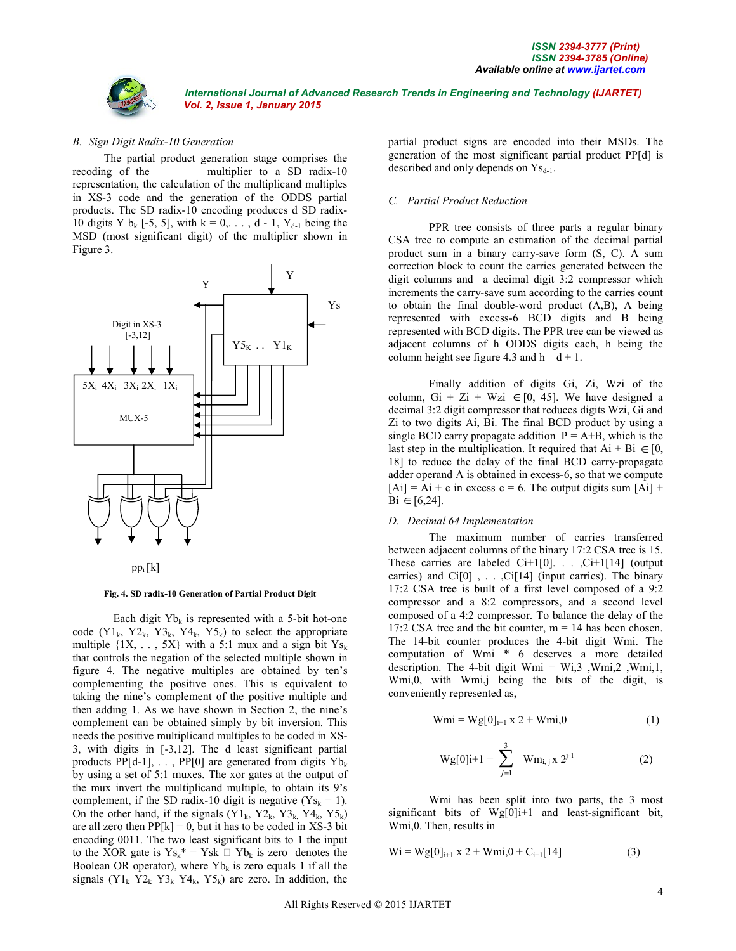

#### *B. Sign Digit Radix-10 Generation*

 The partial product generation stage comprises the recoding of the multiplier to a SD radix-10 representation, the calculation of the multiplicand multiples in XS-3 code and the generation of the ODDS partial products. The SD radix-10 encoding produces d SD radix-10 digits Y  $b_k$  [-5, 5], with  $k = 0, ..., d - 1$ , Y<sub>d-1</sub> being the MSD (most significant digit) of the multiplier shown in Figure 3.





**Fig. 4. SD radix-10 Generation of Partial Product Digit**

Each digit  $Yb_k$  is represented with a 5-bit hot-one code  $(Y1_k, Y2_k, Y3_k, Y4_k, Y5_k)$  to select the appropriate multiple  $\{1X, \ldots, 5X\}$  with a 5:1 mux and a sign bit  $Y_{s_k}$ that controls the negation of the selected multiple shown in figure 4. The negative multiples are obtained by ten's complementing the positive ones. This is equivalent to taking the nine's complement of the positive multiple and then adding 1. As we have shown in Section 2, the nine's complement can be obtained simply by bit inversion. This needs the positive multiplicand multiples to be coded in XS-3, with digits in [-3,12]. The d least significant partial products PP[d-1],  $\ldots$ , PP[0] are generated from digits Yb<sub>k</sub> by using a set of 5:1 muxes. The xor gates at the output of the mux invert the multiplicand multiple, to obtain its 9's complement, if the SD radix-10 digit is negative  $(Y_{S_k} = 1)$ . On the other hand, if the signals  $(Y1_k, Y2_k, Y3_k, Y4_k, Y5_k)$ are all zero then  $\text{PP}[k] = 0$ , but it has to be coded in XS-3 bit encoding 0011. The two least significant bits to 1 the input to the XOR gate is  $Ys_k^* = Ysk \square Yb_k$  is zero denotes the Boolean OR operator), where  $Yb_k$  is zero equals 1 if all the signals  $(Y1_k Y2_k Y3_k Y4_k, Y5_k)$  are zero. In addition, the

partial product signs are encoded into their MSDs. The generation of the most significant partial product PP[d] is described and only depends on  $\text{Ys}_{d-1}$ .

#### *C. Partial Product Reduction*

PPR tree consists of three parts a regular binary CSA tree to compute an estimation of the decimal partial product sum in a binary carry-save form (S, C). A sum correction block to count the carries generated between the digit columns and a decimal digit 3:2 compressor which increments the carry-save sum according to the carries count to obtain the final double-word product (A,B), A being represented with excess-6 BCD digits and B being represented with BCD digits. The PPR tree can be viewed as adjacent columns of h ODDS digits each, h being the column height see figure 4.3 and h  $d + 1$ .

Finally addition of digits Gi, Zi, Wzi of the column, Gi + Zi + Wzi  $\in [0, 45]$ . We have designed a decimal 3:2 digit compressor that reduces digits Wzi, Gi and Zi to two digits Ai, Bi. The final BCD product by using a single BCD carry propagate addition  $P = A+B$ , which is the last step in the multiplication. It required that  $Ai + Bi \in [0,$ 18] to reduce the delay of the final BCD carry-propagate adder operand A is obtained in excess-6, so that we compute  $[Ai] = Ai + e$  in excess  $e = 6$ . The output digits sum  $[Ai]$  +  $Bi \in [6,24]$ .

### *D. Decimal 64 Implementation*

The maximum number of carries transferred between adjacent columns of the binary 17:2 CSA tree is 15. These carries are labeled Ci+1[0]. . . ,Ci+1[14] (output carries) and  $Ci[0]$ , ..., $Ci[14]$  (input carries). The binary 17:2 CSA tree is built of a first level composed of a 9:2 compressor and a 8:2 compressors, and a second level composed of a 4:2 compressor. To balance the delay of the 17:2 CSA tree and the bit counter,  $m = 14$  has been chosen. The 14-bit counter produces the 4-bit digit Wmi. The computation of Wmi \* 6 deserves a more detailed description. The 4-bit digit Wmi =  $Wi<sub>3</sub>$ , Wmi, 2, Wmi, 1, Wmi,0, with Wmi,j being the bits of the digit, is conveniently represented as,

$$
Wmi = Wg[0]_{i+1} \times 2 + Wmi,0
$$
 (1)

$$
Wg[0]i+1 = \sum_{j=1}^{3} Wm_{i,j} x 2^{j-1}
$$
 (2)

Wmi has been split into two parts, the 3 most significant bits of Wg[0]i+1 and least-significant bit, Wmi,0. Then, results in

$$
Wi = Wg[0]_{i+1} x 2 + Wmi, 0 + C_{i+1}[14]
$$
 (3)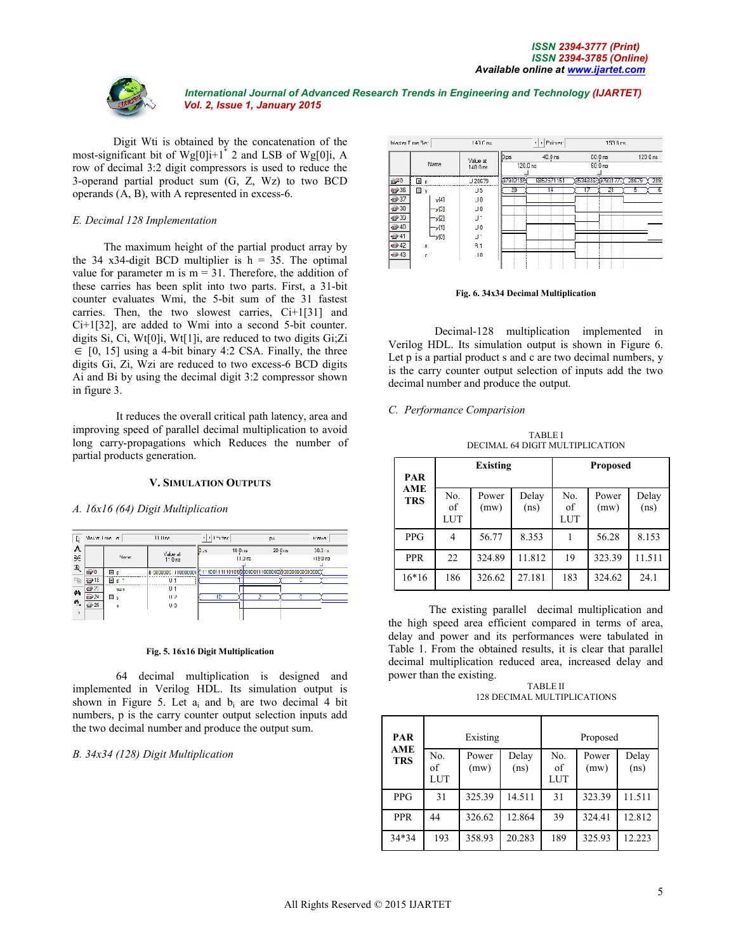

Digit Wti is obtained by the concatenation of the most-significant bit of  $Wg[0]i+1$ <sup>\*</sup> 2 and LSB of  $Wg[0]i$ , A row of decimal 3:2 digit compressors is used to reduce the 3-operand partial product sum (G, Z, Wz) to two BCD operands (A, B), with A represented in excess-6.

#### *E. Decimal 128 Implementation*

 The maximum height of the partial product array by the 34 x34-digit BCD multiplier is  $h = 35$ . The optimal value for parameter m is  $m = 31$ . Therefore, the addition of these carries has been split into two parts. First, a 31-bit counter evaluates Wmi, the 5-bit sum of the 31 fastest carries. Then, the two slowest carries, Ci+1[31] and Ci+1[32], are added to Wmi into a second 5-bit counter. digits Si, Ci, Wt[0]i, Wt[1]i, are reduced to two digits Gi;Zi  $\in$  [0, 15] using a 4-bit binary 4:2 CSA. Finally, the three digits Gi, Zi, Wzi are reduced to two excess-6 BCD digits Ai and Bi by using the decimal digit 3:2 compressor shown in figure 3.

It reduces the overall critical path latency, area and improving speed of parallel decimal multiplication to avoid long carry-propagations which Reduces the number of partial products generation.

#### **V. SIMULATION OUTPUTS**

*A. 16x16 (64) Digit Multiplication* 



#### **Fig. 5. 16x16 Digit Multiplication**

64 decimal multiplication is designed and implemented in Verilog HDL. Its simulation output is shown in Figure 5. Let  $a_i$  and  $b_i$  are two decimal 4 bit numbers, p is the carry counter output selection inputs add the two decimal number and produce the output sum.

### *B. 34x34 (128) Digit Multiplication*

| Master Time Ban        |        | $147f$ na             | + Pointer<br>153.6 ns<br>⊣ |            |  |                                |   |         |  |
|------------------------|--------|-----------------------|----------------------------|------------|--|--------------------------------|---|---------|--|
|                        | Name   | Value at<br>$140$ Ons | $D_{DS}$<br>120.0 ns       | 40.0 ns    |  | $00.0$ ns<br>60.0 ms           |   | 120 Ons |  |
| <b>m</b> <sup>20</sup> | 国口     | J 20679               | 07932193                   | 6852571151 |  | X534835:X97931777 28679 X 289. |   |         |  |
| 12936                  | ▥<br>v | J <sub>5</sub>        | 29                         | 14         |  | 21                             | 5 | -6      |  |
| $\Rightarrow 37$       | v[4]   | U0                    |                            |            |  |                                |   |         |  |
| 12 30                  | y[3]   | J <sub>0</sub>        |                            |            |  |                                |   |         |  |
| $\rightarrow 30$       | y[2]   | U۱                    |                            |            |  |                                |   |         |  |
| ₩40                    | y[1]   | J <sub>0</sub>        |                            |            |  |                                |   |         |  |
| @41                    | y[0]   | J۱                    |                            |            |  |                                |   |         |  |
| $\n  42\n$             | s      | <b>B1</b>             |                            |            |  |                                |   |         |  |
| #43                    | è      | 10                    |                            |            |  |                                |   |         |  |
|                        |        |                       |                            |            |  |                                |   |         |  |

**Fig. 6. 34x34 Decimal Multiplication**

 Decimal-128 multiplication implemented in Verilog HDL. Its simulation output is shown in Figure 6. Let p is a partial product s and c are two decimal numbers, y is the carry counter output selection of inputs add the two decimal number and produce the output.

#### *C. Performance Comparision*

TABLE I DECIMAL 64 DIGIT MULTIPLICATION

| PAR                      | <b>Existing</b>         |               |               | <b>Proposed</b>         |               |               |  |
|--------------------------|-------------------------|---------------|---------------|-------------------------|---------------|---------------|--|
| <b>AME</b><br><b>TRS</b> | No.<br>of<br><b>LUT</b> | Power<br>(mw) | Delay<br>(ns) | No.<br>of<br><b>LUT</b> | Power<br>(mw) | Delay<br>(ns) |  |
| <b>PPG</b>               | 4                       | 56.77         | 8.353         |                         | 56.28         | 8.153         |  |
| <b>PPR</b>               | 22                      | 324.89        | 11.812        | 19                      | 323.39        | 11.511        |  |
| $16*16$                  | 186                     | 326.62        | 27.181        | 183                     | 324.62        | 24.1          |  |

The existing parallel decimal multiplication and the high speed area efficient compared in terms of area, delay and power and its performances were tabulated in Table 1. From the obtained results, it is clear that parallel decimal multiplication reduced area, increased delay and power than the existing.

TABLE II 128 DECIMAL MULTIPLICATIONS

| PAR<br><b>AME</b> | Existing         |               |               | Proposed         |               |               |  |
|-------------------|------------------|---------------|---------------|------------------|---------------|---------------|--|
| <b>TRS</b>        | No.<br>of<br>LUT | Power<br>(mw) | Delay<br>(ns) | No.<br>of<br>LUT | Power<br>(mw) | Delay<br>(ns) |  |
| <b>PPG</b>        | 31               | 325.39        | 14.511        | 31               | 323.39        | 11.511        |  |
| <b>PPR</b>        | 44               | 326.62        | 12.864        | 39               | 324.41        | 12.812        |  |
| 34*34             | 193              | 358.93        | 20.283        | 189              | 325.93        | 12.223        |  |